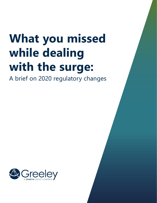# **What you missed while dealing with the surge:**

A brief on 2020 regulatory changes

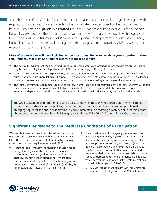Since the onset of the COVID-19 pandemic, hospitals faced considerable challenges keeping up with regulatory changes and updates outside of the immediate priorities posed by the coronavirus. To help you navigate **non-pandemic related** regulatory changes occurring over 2020 for acute care hospitals, we've put together this article as a "year in review." This article reviews key changes to the CMS Conditions of Participation (CoPs) along with significant changes from The Joint Commission (TJC) hospital standards that were made to align with the changes handed down by CMS, as well as other relevant TJC standard updates.

### **Most of the revisions will have little impact on most of us. However, we draw your attention to three requirements that may be of higher interest to most hospitals:**

- The new CMS requirement for a policy indicating which ambulatory care locations do not require registered nursing may be new. Greeley has developed a model [LINK] that may help you through this issue.
- CMS has also relaxed the pre-surgical history and physical requirement for ambulatory surgical centers and some outpatient procedures/populations in hospitals. This option may be of interest to some hospitals with H&P challenges. However, the rules are tricky. So we advise caution and thought before taking advantage of this alternative.
- The Joint Commission requirements related to material hemorrhage and preeclampsia have become effective. Although these topics are not new to most hospital obstetrics units, there may be some work to be done with respect to emergency departments that also occasionally attend childbirth. As with all standards, the devil is in the details.

The Greeley Membership Program includes access to the members only Resource Library with unlimited online access to Greeley model policies, procedures, resources, and webinars focused on problematic or emerging topics for the entire organization. If you're interested in becoming a member or in learning more about our program, call Membership Manager, Kelly Alex at 978-406-4717 or email [Kalex@greeley.com.](mailto:Kalex%40greeley.com?subject=)

## **Significant Revisions to the Medicare Conditions of Participation**

We saw CMS issue two new final rules addressing burden reduction and discharge planning that became effective late 2019. The Joint Commission followed up by changing most corresponding requirements in early 2020.

- Restraint requirements were revised to enable hospital policy flexibility as to who may order, assess, and supervise restraint use (within limits established by state law) by removing independent from the term licensed independent practitioner. The term physician assistant was also removed. (§482.13(e)(5), §482.13(e)(8) (ii), §482.13(e)(10), §482.13(e)(11), §482.13(e)(12))
- The annual review of Emergency Preparedness has been changed to **every 2 years** that includes a full review of the emergency plan, communication plan, policies, procedures, training and testing, (additional training is also required whenever the plan changes). The types of exercises/drills that may be accepted were expanded so be sure to note hospitals must now conduct exercises to test the emergency plan at least **twice per year** instead of annually. (State Operations Manual (SoM) Appendix Z §482.15)
	- { **TJC** Emergency Management (EM) requirements were revised to align with the CMS timeframes

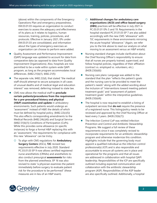(above) within the components of the Emergency Operations Plan and emergency preparedness. EM.03.01.03 requires an organization to conduct exercises to assess the adequacy and effectiveness of its plans as it relates to logistics, human resources, training, policies, procedures, and protocols. Effective in January 2021, EPs under EM.03.01.03 are consolidated, and information about the types of emergency exercises an organization can choose to perform were added.

- Quality Assessment and Performance Improvement (QAPI) language was updated to account for data from comparative data (as opposed to data from Quality Improvement Organizations). Also, hospitals are now permitted to be a node within system-wide QAPI program, as long as the program accommodates local differences. (§482.21(b)(1), §482.21(f))
- The separate rule, §482.22(d), that stated "the medical staff should attempt to secure autopsies in all cases of unusual deaths and of medical-legal and education interest" was removed, deferring instead to state law.
- z CMS now allows the medical staff to **preclude certain patients/procedures from the requirement for a pre-procedural history and physical (H&P) examination and update** in ambulatory environments. Such patients would undergo an "assessment" instead of H&P, the details of which must be defined by hospital policy. (§482.22(c)(5)) This also effects corresponding amendments to the Medical Records (§482.24(c)(4)) and Surgical Service (§482.51(b)(1)) Conditions of Participation (CoPs). While this provides some allowance (in specific instances) to forgo a formal H&P replacing this with an "assessment," the requirements for compliance with this new "allowance" can be tricky.
	- { To align with CMS regulations for **Ambulatory Surgery Centers** (ASCs), **TJC** revised two requirements effective in July 2020. Standard PC.03.01.03 EP 9 now allows certified registered nurse anesthetists (CRNAs) and anesthetists to also conduct presurgical **assessments** for risks from the planned anesthesia. EP 16 was also revised to state "a physician examines the patient immediately before surgery to evaluate patient risk for the procedure to be performed" (these measures are in lieu of an H&P exam).
- { **Additional changes for ambulatory care organizations (ACO) and office-based surgery (OBS)** practices will be effective in July 2021 in PC.03.01.01 EPs 5 and 19. Requirements in the hospital standard PC.01.01.03 EP 7 are also added accordingly with the new CMS "allowance" with TJC requirements in these environments mirroring the acute hospital "allowance." (Again, we refer you to the link above to read our analysis on what moving to an assessment versus an H&P entails).
- Nursing standard changes include clarification about the Chief Nursing Officer's responsibility to ensure that all nurses are properly trained, supervised, and follow hospital policies, regardless of their affiliation (contract vs. employed vs. volunteers, etc.). (§428.23(b)(6))
- Nursing care plans: Language was added to the standard that the plan "reflects the patient's goals and the nursing care to be provided to meet the patient's needs" along with the added wording about the inclusion of "interventions toward meeting patient treatment goals" and "assessment of patient treatment goals" within the interpretive guidelines. (§428.23(b)(4))
- The hospital is now required to establish a listing of outpatient services that **do not** require the presence of a registered nurse. This listing/policy needs to be reviewed and approved by the Chief Nursing Officer at least every 3 years. (§428.23(b)(7))
- The Infection Control CoP was retitled Infection Prevention and Control and Antibiotic Stewardship Programs. We suggest a full review of these requirements since it was completely revised to incorporate requirements for an antibiotic stewardship program and otherwise modernize this condition. Highlights include that the governing body must appoint a qualified individual as the infection control professional(s) (ICP) and is also responsible and accountable to ensure all systems are in place and operational for the programs and that all issues are addressed in collaboration with hospital QAPI leadership. Responsibilities of the ICP are specifically outlined including expected communication and collaboration with the antibiotic stewardship program (ASP). Responsibilities of the ASP leader are also specifically outlined. Additionally, a hospital

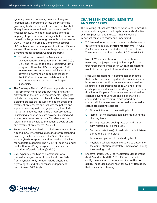system governing body may unify and integrate infection control programs across the system; the governing body is responsible and accountable that all requirements are uniquely met in each certified hospital. (§482.42) We don't expect the amended language to present new challenges, but we all know the old challenges were tough enough, not to mention COVID-19. (See The Greeley Company December 2020 webinar on Conquering Infection Control Survey Vulnerabilities to learn how your hospital can move to a mature model Infection Control program.)

- ${\circ}$  TJC added and revised the Medication Management (MM) requirements—MM.09.01.01, EPs 9 and 10 related to antimicrobialstewardship programs. These two EPs now align with CMS requirements related to responsibilities of the governing body and an appointed leader of the ASP. Coordination and collaboration of all components is expected across hospital leadership.
- The Discharge Planning CoP was completely replaced. It is somewhat more specific, but not significantly different than the previous requirements. Highlights include that hospitals must have in effect a discharge planning process that focuses on patient goals and treatment preferences and includes the patient and support person(s) in discharge planning. Hospitals must assist patients, their family or representative, in selecting a post-acute care provider by using and sharing key performance data. This data must be relevant and applicable to the patient's goals of care and treatment preferences. (§482.43)
- Regulations for psychiatric hospitals were moved from Appendix AA (interpretive guidelines for freestanding acute psychiatric hospitals) of the State Operations Manual (SoM) to Appendix A (interpretive guidelines for hospitals in general). The ASPEN "B" tags no longer exist with new "A" tags assigned to these special conditions of participation. (§482.61)
- CMS expanded the type of practitioners who may write progress notes in psychiatric hospitals: from physicians only, to now include physicians, psychologists, and other licensed independent practitioners. (§482.61(d))

## **CHANGES IN TJC REQUIREMENTS AND PROCESSES**

The following list includes other relevant Joint Commission requirement changes to the hospital standards effective over this past year and into 2021 that we feel are important for you to review and understand.

TJC listened to its customers about the challenges of documenting rapidly **titrated medications.** In June 2020, new notes were added to the Record of Care, Treatment, and Services Standard RC.02.01.01, EP 2.

Note 1: When rapid titration of a medication is necessary, the [organization] defines in policy the urgent/emergent situations in which block charting would be an acceptable form of documentation.

Note 2: Block charting: A documentation method that can be used when rapid titration of medication is necessary in specific urgent/emergent situations as defined in organizational policy. A single "block" charting episode does not extend beyond a four-hour time frame. If a patient's urgent/emergent situation extends beyond four hours and block charting is continued, a new charting "block" period must be started. Minimum elements must be documented in each block charting episode:

- ${\circ}$  Time of initiation of the charting block,
- ${\circ}$  Name(s) of medications administered during the charting block,
- ${\circ}$  Starting rates and ending rates of medications administered during the block,
- $\circ$  Maximum rate (dose) of medications administered during the charting block,
- ${\circ}$  Time of completion of the charting block,
- $\circ$  Physiological parameters evaluated to determine the administration of titratable medications during the charting block.
- Effective January 2021, the Medication Management (MM) Standard MM.04.01.01, EP 2, was revised to clarify the minimum components of a **medication order.** The [organization] must follow a written policy that defines the following:

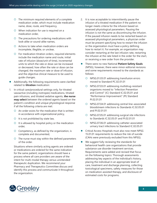- ${\circ}$  The minimum required elements of a complete medication order, which must include medication name, dose, route, and frequency,
- ${\circ}$  When indication for use is required on a medication order,
- ${\circ}$  The precautions for ordering medications with look-alike or sound-alike names,
- $\circ$  Actions to take when medication orders are incomplete, illegible, or unclear,
- ${\circ}$  For medication titration orders, required elements include the medication name and route, initial rate of infusion (dose/unit of time), incremental units to which the rate or dose can be increased or decreased, how often the rate or dose can be changed, the maximum rate or dose of infusion, and the objective clinical measure to be used to guide changes.
- Additionally, the following requirements were clarified related to **titration** medication:
- 1. In critical care/procedural settings only, for titrated vasoactive (including inotropes) medications, titrated pain infusions, and titrated sedative agents, **the nurse may select** between the ordered agents based on the patient's condition and unique physiological response if all the following criteria are met:
	- ${\circ}$  An order exists for the medication that is written in accordance with organizational policy,
	- $\circ$  It is not prohibited by state law,
	- ${\sf O}$  It is allowed by hospital policy or the medication order,
	- ${O}$  Competency, as defined by the organization, is complete and documented,
	- ${\circ}$  The nurse must stay within the defined parameters of the order.

Situations where similarly acting agents are ordered or medications are ordered for the same indication for the same patient; organizations should have a process where all care providers are aware of the intent for multi-modal therapy versus unintended therapeutic duplication. We recommend your Pharmacy and Therapeutics Committee discuss and identify this process and communicate it throughout the organization.

- 2. It is now acceptable to intermittently pause the infusion of a titrated medication if the patient no longer meets criteria for the infusion based on assessed physiological parameters. Pausing the infusion is not the same as discontinuing the infusion. If the paused infusion needs to be restarted based on assessed physiological parameters, a physician order must be present specifying how to restart the infusion or the organization must have a policy defining how to restart it. For example, an organization may consider restarting at the last infusion rate, restarting the infusion at the rate listed in the order for the start, or receiving a new order from the provider.
- There were no new National Patient Safety Goals (NPSG), however, there were minor editorial revisions and some requirements moved to the standards as follows:
	- { NPSG.01.03.01 addressing transfusion errors moved to Standard PC.02.01.01
	- $\circ$  NPSG.07.03.01 addressing multidrug-resistant organisms moved to "Infection Prevention and Control" (IC) Standard IC.02.05.01 and "Performance Improvement" (PI) Standard PI.02.01.01
	- { NPSG.07.04.01 addressing central line–associated bloodstream infections to Standards IC.02.05.01 and PI.02.01.01
	- { NPSG.07.05.01 addressing surgical site infections to Standards IC.02.05.01 and PI.02.01.01
	- { NPSG.07.06.01 addressing catheter-associated urinary tract infections to Standard IC.02.05.01
- Critical Access Hospitals must also now meet NPSG 15.01.01 requirements to reduce the risk of suicide (CAHs were previously excluded from this NPSG).
- We suggest fully reviewing the standards for behavioral health care organizations that provide substance use disorder treatment services. Requirements were added and revised that focus on the following topics: Thorough assessments addressing key aspects of the individual's history, placing the individual in an appropriate level of care, treatment and discharge planning, collecting toxicological specimens, safety measures for those on medication-assisted therapy, and disclosure of estimated costs for programs.

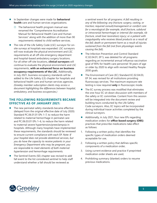- In September changes were made for **behavioral health** care and human services organizations.
	- ${\circ}$  The behavioral health program manual was renamed the "Comprehensive Accreditation Manual for Behavioral Health Care and Human Services" along with the addition of more than 90 requirements related to child welfare services.
- The role of the Life Safety Code (LSC) surveyor for onsite surveys at hospitals was expanded. LSC surveyors will now evaluate the physical environment and LSC requirements at all off-site emergency department and hospital-based ambulatory surgery locations. For all other off-site locations, **clinical surveyors** will continue to evaluate the physical environment and LSC requirements, **with an enhanced focus on business occupancy requirements of the LSC.** Additionally, in July 2021, business occupancy standards will be added to the Life Safety (LS) chapter for hospitals and behavioral health care and human services agencies. *(Greeley member subscription clients may access a document highlighting the differences between hospital, ambulatory, and business occupancies.)*

#### **THE FOLLOWING REQUIREMENTS BECAME EFFECTIVE AS OF JANUARY 2021:**

- The new perinatal safety standards became effective (delayed from the original effective date of July 2020): Standard PC.06.01.01 EPs 1–7, to reduce the harm related to maternal hemorrhage in perinatal care and PC.06.03.01 EPs 1–6, to reduce the harm related to maternal severe hypertension/preeclampsia in hospitals. Although many hospitals have implemented these requirements, the standards should be reviewed to ensure current compliance with each EP. *Note: If your hospital does not provide obstetrical services, but you do have the capacity to receive patients in your Emergency Department who may be pregnant, you are responsible to meet elements of both maternal hypertension and hemorrhage requirements.*
- The Sentinel Events (SE) chapter was revised to add fall event to the list considered sentinel to help staff understand whether a fall should be reviewed as

a sentinel event for all programs: *A fall resulting in any of the following: any fracture; surgery, casting, or traction; required consult/management or comfort care for a neurological (for example, skull fracture, subdural or intracranial hemorrhage) or internal (for example, rib fracture, small liver laceration) injury; or a patient with coagulopathy who receives blood products as a result of the fall; death or permanent harm as a result of injuries sustained from the fall (not from physiologic events causing the fall).*

- The Infection Prevention and Control Standard IC.02.04.01, EP 5, was deleted for all programs regarding an incremental annual influenza vaccination goal of 90% for health care personnel 18 years of age or older by 2020 to align with revised Healthy People 2030 goals.
- The Environment of Care (EC) Standard EC.02.04.03, EP 34, was revised for all institutions providing fluoroscopy services. The maximum exposure rate testing is now required **only** in fluoroscopic mode.
- The EC survey process was modified that eliminates the one-hour EC sit-down discussion with members of the safety or EC committee. Content from this session will be integrated into the document review and building tours conducted by the Life Safety Code surveyors. Also, EC topics will be incorporated during individual tracer activities completed by the clinical surveyors.
- Additionally, in July 2021, four new EPs regarding medication orders for **office-based surgery (OBS)**  practices that prescribe medications take effect as follows:
- 1. Following a written policy that identifies the specific types of medication orders deemed acceptable for use,
- 2. Following a written policy that defines specific components of a medication order,
- 3. Using current evidence and practice if preprinted medication order sheets are used,
- 4. Prohibiting summary (blanket) orders to resume previous medications.

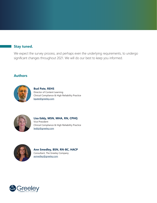## **Stay tuned.**

We expect the survey process, and perhaps even the underlying requirements, to undergo significant changes throughout 2021. We will do our best to keep you informed.

## **Authors**



**Bud Pate, REHS** Director of Content Learning Clinical Compliance & High Reliability Practice [bpate@greeley.com](mailto:bpate%40greeley.com?subject=)



#### **Lisa Eddy, MSN, MHA, RN, CPHQ** Vice President Clinical Compliance & High Reliability Practice



## **Ann Smedley, BSN, RN-BC, HACP** Consultant, The Greeley Company

[asmedley@greeley.com](mailto:asmedley%40greeley.com?subject=)

[leddy@greeley.com](mailto:leddy%40greeley.com?subject=)